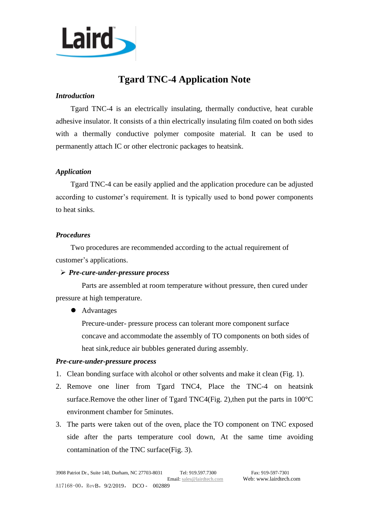

# **Tgard TNC-4 Application Note**

# *Introduction*

Tgard TNC-4 is an electrically insulating, thermally conductive, heat curable adhesive insulator. It consists of a thin electrically insulating film coated on both sides with a thermally conductive polymer composite material. It can be used to permanently attach IC or other electronic packages to heatsink.

# *Application*

Tgard TNC-4 can be easily applied and the application procedure can be adjusted according to customer's requirement. It is typically used to bond power components to heat sinks.

### *Procedures*

Two procedures are recommended according to the actual requirement of customer's applications.

### ➢ *Pre-cure-under-pressure process*

Parts are assembled at room temperature without pressure, then cured under pressure at high temperature.

⚫ Advantages

Precure-under- pressure process can tolerant more component surface concave and accommodate the assembly of TO components on both sides of heat sink,reduce air bubbles generated during assembly.

### *Pre-cure-under-pressure process*

- 1. Clean bonding surface with alcohol or other solvents and make it clean (Fig. 1).
- 2. Remove one liner from Tgard TNC4, Place the TNC-4 on heatsink surface.Remove the other liner of Tgard TNC4(Fig. 2),then put the parts in 100°C environment chamber for 5minutes.
- 3. The parts were taken out of the oven, place the TO component on TNC exposed side after the parts temperature cool down, At the same time avoiding contamination of the TNC surface(Fig. 3).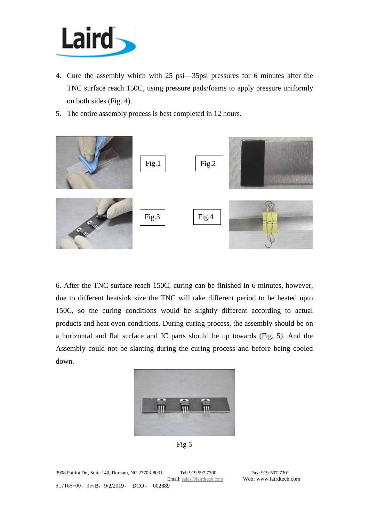

- 4. Cure the assembly which with 25 psi—35psi pressures for 6 minutes after the TNC surface reach 150C, using pressure pads/foams to apply pressure uniformly on both sides (Fig. 4).
- 5. The entire assembly process is best completed in 12 hours.



6. After the TNC surface reach 150C, curing can be finished in 6 minutes, however, due to different heatsink size the TNC will take different period to be heated upto 150C, so the curing conditions would be slightly different according to actual products and heat oven conditions. During curing process, the assembly should be on a horizontal and flat surface and IC parts should be up towards (Fig. 5). And the Assembly could not be slanting during the curing process and before being cooled down.



Fig 5